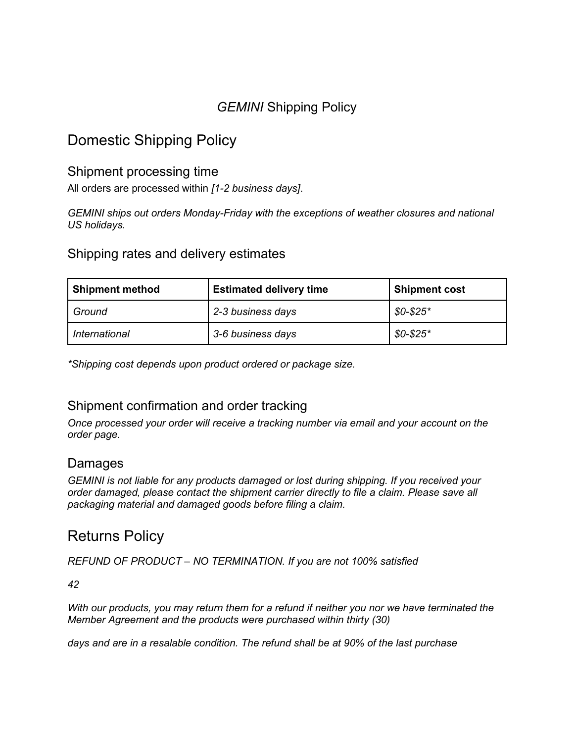## *GEMINI* Shipping Policy

# Domestic Shipping Policy

### Shipment processing time

All orders are processed within *[1-2 business days]*.

*GEMINI ships out orders Monday-Friday with the exceptions of weather closures and national US holidays.*

#### Shipping rates and delivery estimates

| <b>Shipment method</b> | <b>Estimated delivery time</b> | <b>Shipment cost</b> |
|------------------------|--------------------------------|----------------------|
| Ground                 | 2-3 business days              | $$0-$25"$            |
| International          | 3-6 business days              | $$0-$25"$            |

*\*Shipping cost depends upon product ordered or package size.*

### Shipment confirmation and order tracking

*Once processed your order will receive a tracking number via email and your account on the order page.*

#### Damages

*GEMINI is not liable for any products damaged or lost during shipping. If you received your order damaged, please contact the shipment carrier directly to file a claim. Please save all packaging material and damaged goods before filing a claim.*

## Returns Policy

*REFUND OF PRODUCT – NO TERMINATION. If you are not 100% satisfied*

*42*

*With our products, you may return them for a refund if neither you nor we have terminated the Member Agreement and the products were purchased within thirty (30)*

*days and are in a resalable condition. The refund shall be at 90% of the last purchase*